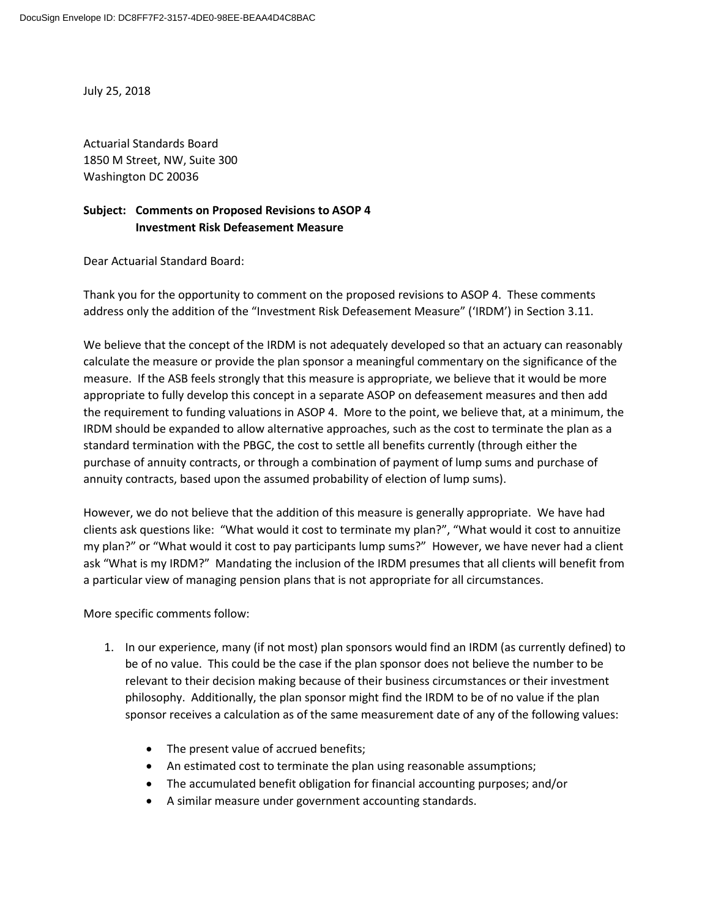July 25, 2018

Actuarial Standards Board 1850 M Street, NW, Suite 300 Washington DC 20036

## **Subject: Comments on Proposed Revisions to ASOP 4 Investment Risk Defeasement Measure**

Dear Actuarial Standard Board:

Thank you for the opportunity to comment on the proposed revisions to ASOP 4. These comments address only the addition of the "Investment Risk Defeasement Measure" ('IRDM') in Section 3.11.

We believe that the concept of the IRDM is not adequately developed so that an actuary can reasonably calculate the measure or provide the plan sponsor a meaningful commentary on the significance of the measure. If the ASB feels strongly that this measure is appropriate, we believe that it would be more appropriate to fully develop this concept in a separate ASOP on defeasement measures and then add the requirement to funding valuations in ASOP 4. More to the point, we believe that, at a minimum, the IRDM should be expanded to allow alternative approaches, such as the cost to terminate the plan as a standard termination with the PBGC, the cost to settle all benefits currently (through either the purchase of annuity contracts, or through a combination of payment of lump sums and purchase of annuity contracts, based upon the assumed probability of election of lump sums).

However, we do not believe that the addition of this measure is generally appropriate. We have had clients ask questions like: "What would it cost to terminate my plan?", "What would it cost to annuitize my plan?" or "What would it cost to pay participants lump sums?" However, we have never had a client ask "What is my IRDM?" Mandating the inclusion of the IRDM presumes that all clients will benefit from a particular view of managing pension plans that is not appropriate for all circumstances.

More specific comments follow:

- 1. In our experience, many (if not most) plan sponsors would find an IRDM (as currently defined) to be of no value. This could be the case if the plan sponsor does not believe the number to be relevant to their decision making because of their business circumstances or their investment philosophy. Additionally, the plan sponsor might find the IRDM to be of no value if the plan sponsor receives a calculation as of the same measurement date of any of the following values:
	- The present value of accrued benefits;
	- An estimated cost to terminate the plan using reasonable assumptions;
	- The accumulated benefit obligation for financial accounting purposes; and/or
	- A similar measure under government accounting standards.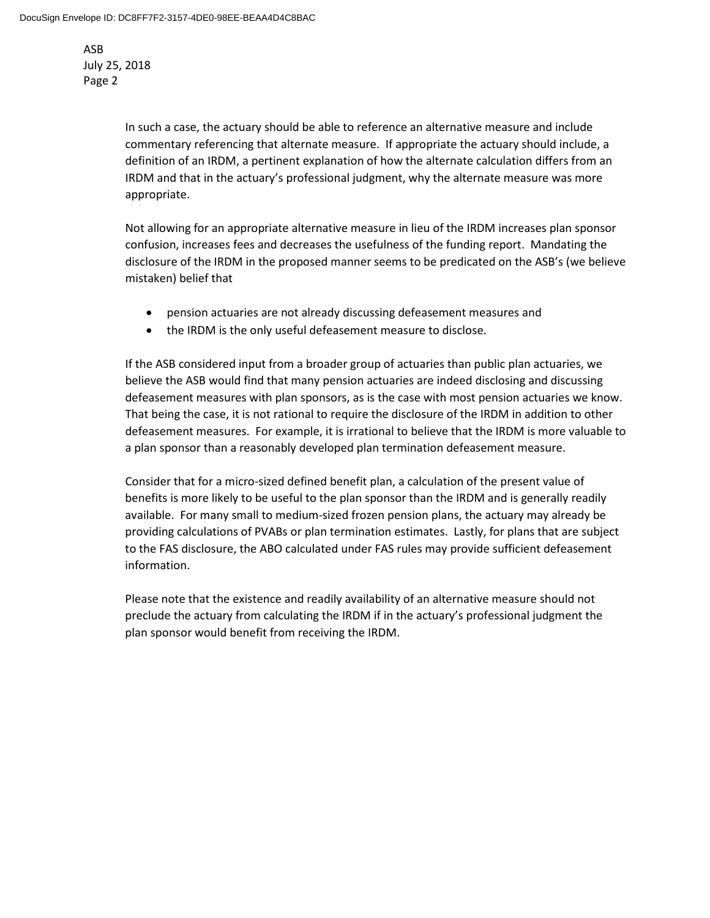> In such a case, the actuary should be able to reference an alternative measure and include commentary referencing that alternate measure. If appropriate the actuary should include, a definition of an IRDM, a pertinent explanation of how the alternate calculation differs from an IRDM and that in the actuary's professional judgment, why the alternate measure was more appropriate.

Not allowing for an appropriate alternative measure in lieu of the IRDM increases plan sponsor confusion, increases fees and decreases the usefulness of the funding report. Mandating the disclosure of the IRDM in the proposed manner seems to be predicated on the ASB's (we believe mistaken) belief that

- pension actuaries are not already discussing defeasement measures and
- the IRDM is the only useful defeasement measure to disclose.

If the ASB considered input from a broader group of actuaries than public plan actuaries, we believe the ASB would find that many pension actuaries are indeed disclosing and discussing defeasement measures with plan sponsors, as is the case with most pension actuaries we know. That being the case, it is not rational to require the disclosure of the IRDM in addition to other defeasement measures. For example, it is irrational to believe that the IRDM is more valuable to a plan sponsor than a reasonably developed plan termination defeasement measure.

Consider that for a micro-sized defined benefit plan, a calculation of the present value of benefits is more likely to be useful to the plan sponsor than the IRDM and is generally readily available. For many small to medium-sized frozen pension plans, the actuary may already be providing calculations of PVABs or plan termination estimates. Lastly, for plans that are subject to the FAS disclosure, the ABO calculated under FAS rules may provide sufficient defeasement information.

Please note that the existence and readily availability of an alternative measure should not preclude the actuary from calculating the IRDM if in the actuary's professional judgment the plan sponsor would benefit from receiving the IRDM.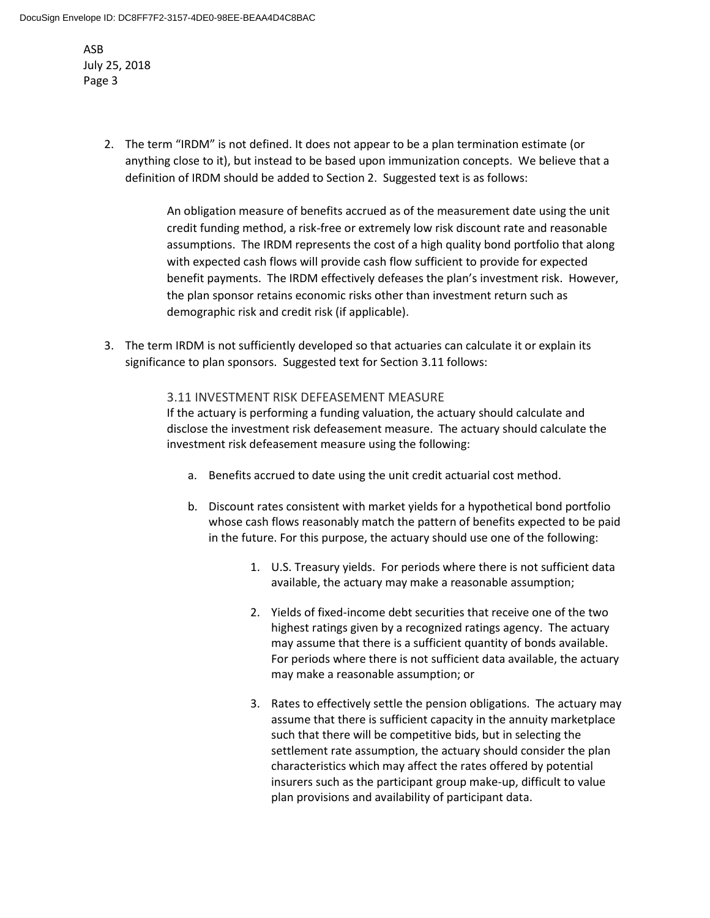> 2. The term "IRDM" is not defined. It does not appear to be a plan termination estimate (or anything close to it), but instead to be based upon immunization concepts. We believe that a definition of IRDM should be added to Section 2. Suggested text is as follows:

> > An obligation measure of benefits accrued as of the measurement date using the unit credit funding method, a risk-free or extremely low risk discount rate and reasonable assumptions. The IRDM represents the cost of a high quality bond portfolio that along with expected cash flows will provide cash flow sufficient to provide for expected benefit payments. The IRDM effectively defeases the plan's investment risk. However, the plan sponsor retains economic risks other than investment return such as demographic risk and credit risk (if applicable).

3. The term IRDM is not sufficiently developed so that actuaries can calculate it or explain its significance to plan sponsors. Suggested text for Section 3.11 follows:

## 3.11 INVESTMENT RISK DEFEASEMENT MEASURE

If the actuary is performing a funding valuation, the actuary should calculate and disclose the investment risk defeasement measure. The actuary should calculate the investment risk defeasement measure using the following:

- a. Benefits accrued to date using the unit credit actuarial cost method.
- b. Discount rates consistent with market yields for a hypothetical bond portfolio whose cash flows reasonably match the pattern of benefits expected to be paid in the future. For this purpose, the actuary should use one of the following:
	- 1. U.S. Treasury yields. For periods where there is not sufficient data available, the actuary may make a reasonable assumption;
	- 2. Yields of fixed-income debt securities that receive one of the two highest ratings given by a recognized ratings agency. The actuary may assume that there is a sufficient quantity of bonds available. For periods where there is not sufficient data available, the actuary may make a reasonable assumption; or
	- 3. Rates to effectively settle the pension obligations. The actuary may assume that there is sufficient capacity in the annuity marketplace such that there will be competitive bids, but in selecting the settlement rate assumption, the actuary should consider the plan characteristics which may affect the rates offered by potential insurers such as the participant group make-up, difficult to value plan provisions and availability of participant data.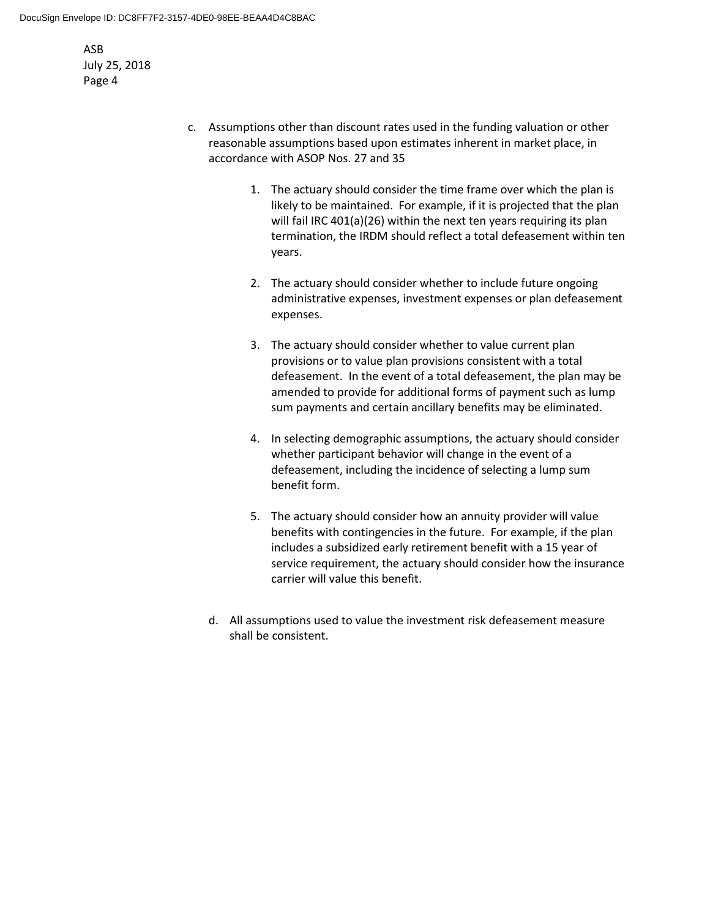- c. Assumptions other than discount rates used in the funding valuation or other reasonable assumptions based upon estimates inherent in market place, in accordance with ASOP Nos. 27 and 35
	- 1. The actuary should consider the time frame over which the plan is likely to be maintained. For example, if it is projected that the plan will fail IRC 401(a)(26) within the next ten years requiring its plan termination, the IRDM should reflect a total defeasement within ten years.
	- 2. The actuary should consider whether to include future ongoing administrative expenses, investment expenses or plan defeasement expenses.
	- 3. The actuary should consider whether to value current plan provisions or to value plan provisions consistent with a total defeasement. In the event of a total defeasement, the plan may be amended to provide for additional forms of payment such as lump sum payments and certain ancillary benefits may be eliminated.
	- 4. In selecting demographic assumptions, the actuary should consider whether participant behavior will change in the event of a defeasement, including the incidence of selecting a lump sum benefit form.
	- 5. The actuary should consider how an annuity provider will value benefits with contingencies in the future. For example, if the plan includes a subsidized early retirement benefit with a 15 year of service requirement, the actuary should consider how the insurance carrier will value this benefit.
	- d. All assumptions used to value the investment risk defeasement measure shall be consistent.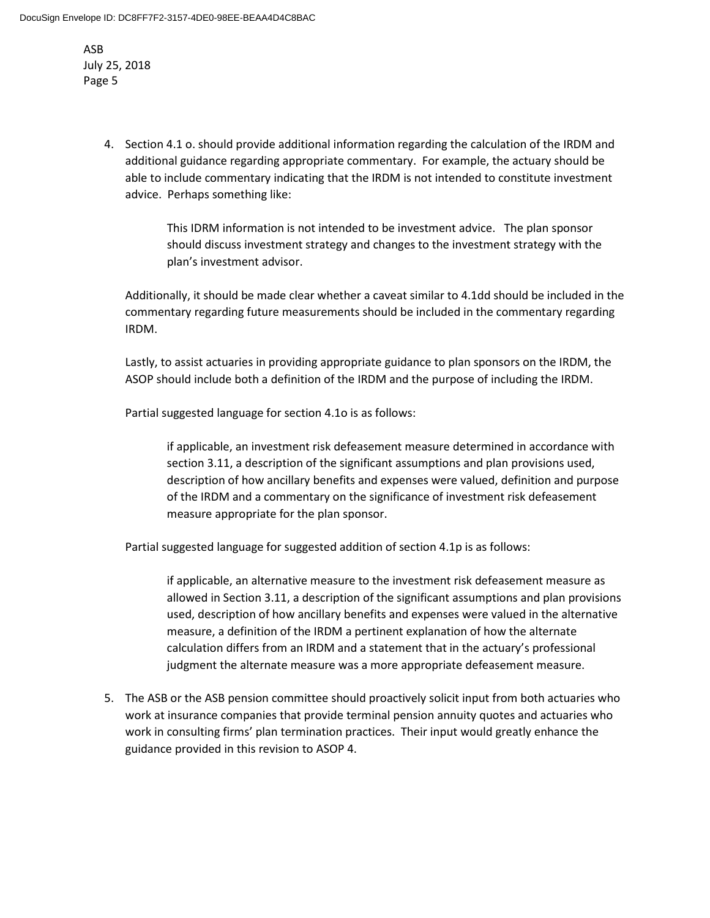> 4. Section 4.1 o. should provide additional information regarding the calculation of the IRDM and additional guidance regarding appropriate commentary. For example, the actuary should be able to include commentary indicating that the IRDM is not intended to constitute investment advice. Perhaps something like:

> > This IDRM information is not intended to be investment advice. The plan sponsor should discuss investment strategy and changes to the investment strategy with the plan's investment advisor.

Additionally, it should be made clear whether a caveat similar to 4.1dd should be included in the commentary regarding future measurements should be included in the commentary regarding IRDM.

Lastly, to assist actuaries in providing appropriate guidance to plan sponsors on the IRDM, the ASOP should include both a definition of the IRDM and the purpose of including the IRDM.

Partial suggested language for section 4.1o is as follows:

if applicable, an investment risk defeasement measure determined in accordance with section 3.11, a description of the significant assumptions and plan provisions used, description of how ancillary benefits and expenses were valued, definition and purpose of the IRDM and a commentary on the significance of investment risk defeasement measure appropriate for the plan sponsor.

Partial suggested language for suggested addition of section 4.1p is as follows:

if applicable, an alternative measure to the investment risk defeasement measure as allowed in Section 3.11, a description of the significant assumptions and plan provisions used, description of how ancillary benefits and expenses were valued in the alternative measure, a definition of the IRDM a pertinent explanation of how the alternate calculation differs from an IRDM and a statement that in the actuary's professional judgment the alternate measure was a more appropriate defeasement measure.

5. The ASB or the ASB pension committee should proactively solicit input from both actuaries who work at insurance companies that provide terminal pension annuity quotes and actuaries who work in consulting firms' plan termination practices. Their input would greatly enhance the guidance provided in this revision to ASOP 4.